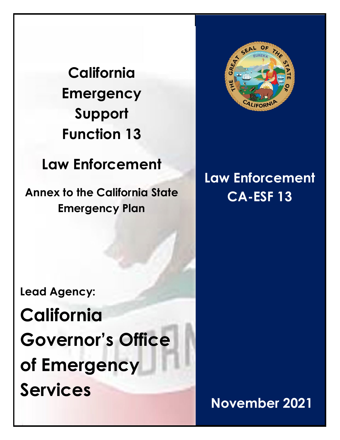# **California Emergency Support Function 13**

## **Law Enforcement**

**Annex to the California State Emergency Plan**

**Lead Agency:**

**California Governor's Office of Emergency Services**



## **Law Enforcement CA-ESF 13**

**November 2021**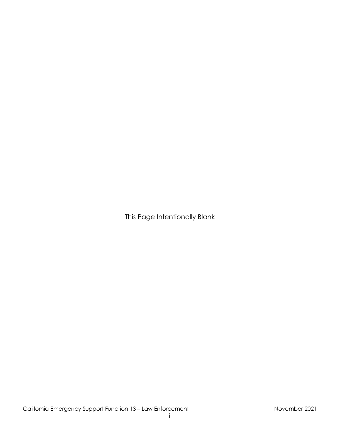This Page Intentionally Blank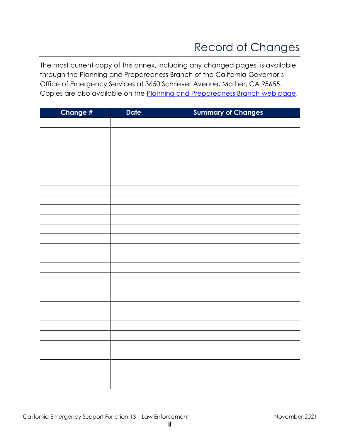The most current copy of this annex, including any changed pages, is available through the Planning and Preparedness Branch of the California Governor's Office of Emergency Services at 3650 Schriever Avenue, Mather, CA 95655. Copies are also available on the **Planning and Preparedness Branch web page**.

| Change # | <b>Date</b> | <b>Summary of Changes</b> |
|----------|-------------|---------------------------|
|          |             |                           |
|          |             |                           |
|          |             |                           |
|          |             |                           |
|          |             |                           |
|          |             |                           |
|          |             |                           |
|          |             |                           |
|          |             |                           |
|          |             |                           |
|          |             |                           |
|          |             |                           |
|          |             |                           |
|          |             |                           |
|          |             |                           |
|          |             |                           |
|          |             |                           |
|          |             |                           |
|          |             |                           |
|          |             |                           |
|          |             |                           |
|          |             |                           |
|          |             |                           |
|          |             |                           |
|          |             |                           |
|          |             |                           |
|          |             |                           |
|          |             |                           |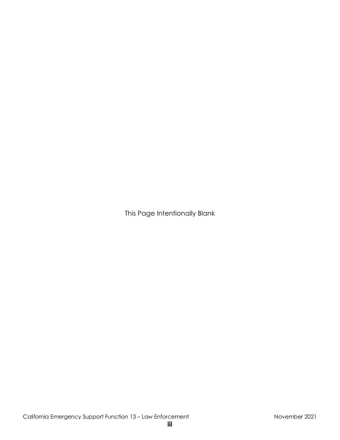This Page Intentionally Blank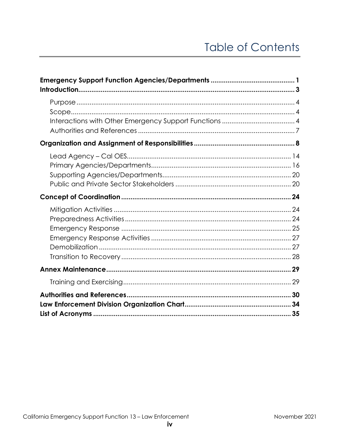## **Table of Contents**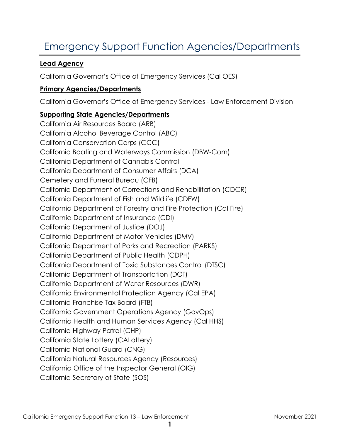## <span id="page-5-0"></span>Emergency Support Function Agencies/Departments

#### **Lead Agency**

California Governor's Office of Emergency Services (Cal OES)

#### **Primary Agencies/Departments**

California Governor's Office of Emergency Services - Law Enforcement Division

#### **Supporting State Agencies/Departments**

California Air Resources Board (ARB) California Alcohol Beverage Control (ABC) California Conservation Corps (CCC) California Boating and Waterways Commission (DBW-Com) California Department of Cannabis Control California Department of Consumer Affairs (DCA) Cemetery and Funeral Bureau (CFB) California Department of Corrections and Rehabilitation (CDCR) California Department of Fish and Wildlife (CDFW) California Department of Forestry and Fire Protection (Cal Fire) California Department of Insurance (CDI) California Department of Justice (DOJ) California Department of Motor Vehicles (DMV) California Department of Parks and Recreation (PARKS) California Department of Public Health (CDPH) California Department of Toxic Substances Control (DTSC) California Department of Transportation (DOT) California Department of Water Resources (DWR) California Environmental Protection Agency (Cal EPA) California Franchise Tax Board (FTB) California Government Operations Agency (GovOps) California Health and Human Services Agency (Cal HHS) California Highway Patrol (CHP) California State Lottery (CALottery) California National Guard (CNG) California Natural Resources Agency (Resources) California Office of the Inspector General (OIG) California Secretary of State (SOS)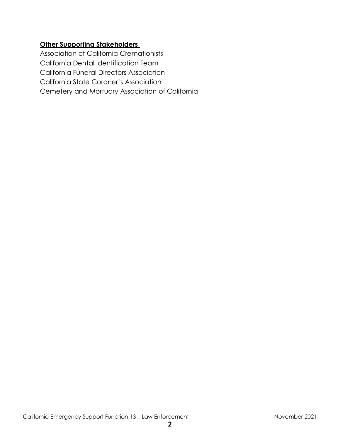#### **Other Supporting Stakeholders**

Association of California Cremationists California Dental Identification Team California Funeral Directors Association California State Coroner's Association Cemetery and Mortuary Association of California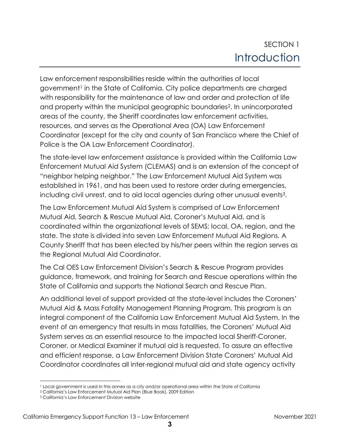<span id="page-7-0"></span>Law enforcement responsibilities reside within the authorities of local government<sup>[1](#page-7-1)</sup> in the State of California. City police departments are charged with responsibility for the maintenance of law and order and protection of life and property within the municipal geographic boundaries<sup>2</sup>. In unincorporated areas of the county, the Sheriff coordinates law enforcement activities, resources, and serves as the Operational Area (OA) Law Enforcement Coordinator (except for the city and county of San Francisco where the Chief of Police is the OA Law Enforcement Coordinator).

The state-level law enforcement assistance is provided within the California Law Enforcement Mutual Aid System (CLEMAS) and is an extension of the concept of "neighbor helping neighbor." The Law Enforcement Mutual Aid System was established in 1961, and has been used to restore order during emergencies, including civil unrest, and to aid local agencies during other unusual events<sup>3</sup>.

The Law Enforcement Mutual Aid System is comprised of Law Enforcement Mutual Aid, Search & Rescue Mutual Aid, Coroner's Mutual Aid, and is coordinated within the organizational levels of SEMS: local, OA, region, and the state. The state is divided into seven Law Enforcement Mutual Aid Regions. A County Sheriff that has been elected by his/her peers within the region serves as the Regional Mutual Aid Coordinator.

The Cal OES Law Enforcement Division's Search & Rescue Program provides guidance, framework, and training for Search and Rescue operations within the State of California and supports the National Search and Rescue Plan.

An additional level of support provided at the state-level includes the Coroners' Mutual Aid & Mass Fatality Management Planning Program. This program is an integral component of the California Law Enforcement Mutual Aid System. In the event of an emergency that results in mass fatalities, the Coroners' Mutual Aid System serves as an essential resource to the impacted local Sheriff-Coroner, Coroner, or Medical Examiner if mutual aid is requested. To assure an effective and efficient response, a Law Enforcement Division State Coroners' Mutual Aid Coordinator coordinates all inter-regional mutual aid and state agency activity

<sup>1</sup> Local government is used in this annex as a city and/or operational area within the State of California

<span id="page-7-2"></span><span id="page-7-1"></span><sup>2</sup> California's Law Enforcement Mutual Aid Plan (Blue Book), 2009 Edition

<span id="page-7-3"></span><sup>3</sup> California's Law Enforcement Division website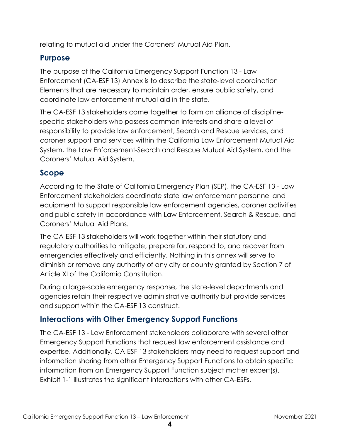relating to mutual aid under the Coroners' Mutual Aid Plan.

## <span id="page-8-0"></span>**Purpose**

The purpose of the California Emergency Support Function 13 - Law Enforcement (CA-ESF 13) Annex is to describe the state-level coordination Elements that are necessary to maintain order, ensure public safety, and coordinate law enforcement mutual aid in the state.

The CA-ESF 13 stakeholders come together to form an alliance of disciplinespecific stakeholders who possess common interests and share a level of responsibility to provide law enforcement, Search and Rescue services, and coroner support and services within the California Law Enforcement Mutual Aid System, the Law Enforcement-Search and Rescue Mutual Aid System, and the Coroners' Mutual Aid System.

## <span id="page-8-1"></span>**Scope**

According to the State of California Emergency Plan (SEP), the CA-ESF 13 - Law Enforcement stakeholders coordinate state law enforcement personnel and equipment to support responsible law enforcement agencies, coroner activities and public safety in accordance with Law Enforcement, Search & Rescue, and Coroners' Mutual Aid Plans.

The CA-ESF 13 stakeholders will work together within their statutory and regulatory authorities to mitigate, prepare for, respond to, and recover from emergencies effectively and efficiently. Nothing in this annex will serve to diminish or remove any authority of any city or county granted by Section 7 of Article XI of the California Constitution.

During a large-scale emergency response, the state-level departments and agencies retain their respective administrative authority but provide services and support within the CA-ESF 13 construct.

## <span id="page-8-2"></span>**Interactions with Other Emergency Support Functions**

The CA-ESF 13 - Law Enforcement stakeholders collaborate with several other Emergency Support Functions that request law enforcement assistance and expertise. Additionally, CA-ESF 13 stakeholders may need to request support and information sharing from other Emergency Support Functions to obtain specific information from an Emergency Support Function subject matter expert(s). Exhibit 1-1 illustrates the significant interactions with other CA-ESFs.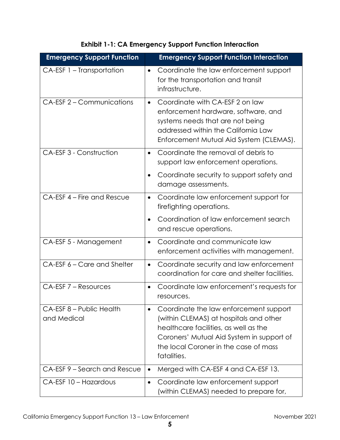| <b>Emergency Support Function</b>       | <b>Emergency Support Function Interaction</b>                                                                                                                                                                                               |
|-----------------------------------------|---------------------------------------------------------------------------------------------------------------------------------------------------------------------------------------------------------------------------------------------|
| CA-ESF 1 – Transportation               | Coordinate the law enforcement support<br>$\bullet$<br>for the transportation and transit<br>infrastructure.                                                                                                                                |
| CA-ESF 2 - Communications               | Coordinate with CA-ESF 2 on law<br>$\bullet$<br>enforcement hardware, software, and<br>systems needs that are not being<br>addressed within the California Law<br>Enforcement Mutual Aid System (CLEMAS).                                   |
| CA-ESF 3 - Construction                 | Coordinate the removal of debris to<br>$\bullet$<br>support law enforcement operations.                                                                                                                                                     |
|                                         | Coordinate security to support safety and<br>damage assessments.                                                                                                                                                                            |
| CA-ESF 4 – Fire and Rescue              | Coordinate law enforcement support for<br>$\bullet$<br>firefighting operations.                                                                                                                                                             |
|                                         | Coordination of law enforcement search<br>and rescue operations.                                                                                                                                                                            |
| CA-ESF 5 - Management                   | Coordinate and communicate law<br>$\bullet$<br>enforcement activities with management.                                                                                                                                                      |
| CA-ESF 6 - Care and Shelter             | Coordinate security and law enforcement<br>$\bullet$<br>coordination for care and shelter facilities.                                                                                                                                       |
| CA-ESF 7 - Resources                    | Coordinate law enforcement's requests for<br>resources.                                                                                                                                                                                     |
| CA-ESF 8 - Public Health<br>and Medical | Coordinate the law enforcement support<br>$\bullet$<br>(within CLEMAS) at hospitals and other<br>healthcare facilities, as well as the<br>Coroners' Mutual Aid System in support of<br>the local Coroner in the case of mass<br>fatalities. |
| CA-ESF 9 - Search and Rescue            | Merged with CA-ESF 4 and CA-ESF 13.<br>$\bullet$                                                                                                                                                                                            |
| CA-ESF 10 - Hazardous                   | Coordinate law enforcement support<br>$\bullet$<br>(within CLEMAS) needed to prepare for,                                                                                                                                                   |

## **Exhibit 1-1: CA Emergency Support Function Interaction**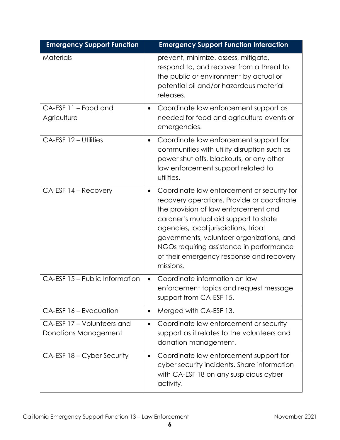| <b>Emergency Support Function</b>                  | <b>Emergency Support Function Interaction</b>                                                                                                                                                                                                                                                                                                                                     |
|----------------------------------------------------|-----------------------------------------------------------------------------------------------------------------------------------------------------------------------------------------------------------------------------------------------------------------------------------------------------------------------------------------------------------------------------------|
| <b>Materials</b>                                   | prevent, minimize, assess, mitigate,<br>respond to, and recover from a threat to<br>the public or environment by actual or<br>potential oil and/or hazardous material<br>releases.                                                                                                                                                                                                |
| CA-ESF 11 - Food and<br>Agriculture                | Coordinate law enforcement support as<br>$\bullet$<br>needed for food and agriculture events or<br>emergencies.                                                                                                                                                                                                                                                                   |
| CA-ESF 12 - Utilities                              | Coordinate law enforcement support for<br>$\bullet$<br>communities with utility disruption such as<br>power shut offs, blackouts, or any other<br>law enforcement support related to<br>utilities.                                                                                                                                                                                |
| CA-ESF 14 - Recovery                               | Coordinate law enforcement or security for<br>$\bullet$<br>recovery operations. Provide or coordinate<br>the provision of law enforcement and<br>coroner's mutual aid support to state<br>agencies, local jurisdictions, tribal<br>governments, volunteer organizations, and<br>NGOs requiring assistance in performance<br>of their emergency response and recovery<br>missions. |
| CA-ESF 15 - Public Information                     | Coordinate information on law<br>enforcement topics and request message<br>support from CA-ESF 15.                                                                                                                                                                                                                                                                                |
| CA-ESF 16 - Evacuation                             | Merged with CA-ESF 13.<br>$\bullet$                                                                                                                                                                                                                                                                                                                                               |
| CA-ESF 17 – Volunteers and<br>Donations Management | Coordinate law enforcement or security<br>$\bullet$<br>support as it relates to the volunteers and<br>donation management.                                                                                                                                                                                                                                                        |
| CA-ESF 18 – Cyber Security                         | Coordinate law enforcement support for<br>$\bullet$<br>cyber security incidents. Share information<br>with CA-ESF 18 on any suspicious cyber<br>activity.                                                                                                                                                                                                                         |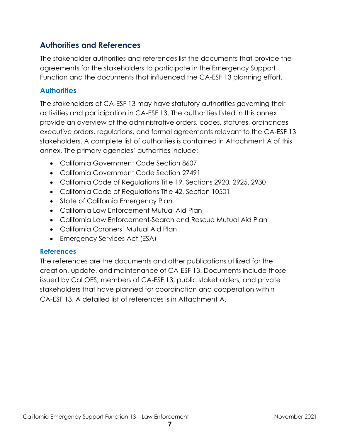## <span id="page-11-0"></span>**Authorities and References**

The stakeholder authorities and references list the documents that provide the agreements for the stakeholders to participate in the Emergency Support Function and the documents that influenced the CA-ESF 13 planning effort.

#### **Authorities**

The stakeholders of CA-ESF 13 may have statutory authorities governing their activities and participation in CA-ESF 13. The authorities listed in this annex provide an overview of the administrative orders, codes, statutes, ordinances, executive orders, regulations, and formal agreements relevant to the CA-ESF 13 stakeholders. A complete list of authorities is contained in Attachment A of this annex. The primary agencies' authorities include:

- California Government Code Section 8607
- California Government Code Section 27491
- California Code of Regulations Title 19, Sections 2920, 2925, 2930
- California Code of Regulations Title 42, Section 10501
- State of California Emergency Plan
- California Law Enforcement Mutual Aid Plan
- California Law Enforcement-Search and Rescue Mutual Aid Plan
- California Coroners' Mutual Aid Plan
- Emergency Services Act (ESA)

#### **References**

The references are the documents and other publications utilized for the creation, update, and maintenance of CA-ESF 13. Documents include those issued by Cal OES, members of CA-ESF 13, public stakeholders, and private stakeholders that have planned for coordination and cooperation within CA-ESF 13. A detailed list of references is in Attachment A.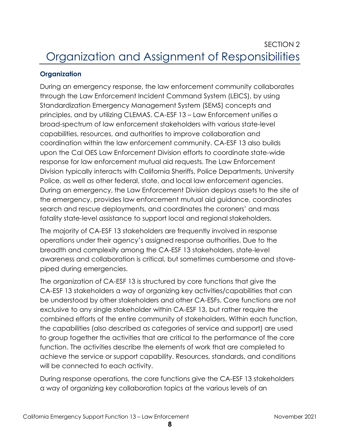## <span id="page-12-0"></span>SECTION 2 Organization and Assignment of Responsibilities

### **Organization**

During an emergency response, the law enforcement community collaborates through the Law Enforcement Incident Command System (LEICS), by using Standardization Emergency Management System (SEMS) concepts and principles, and by utilizing CLEMAS. CA-ESF 13 – Law Enforcement unifies a broad-spectrum of law enforcement stakeholders with various state-level capabilities, resources, and authorities to improve collaboration and coordination within the law enforcement community. CA-ESF 13 also builds upon the Cal OES Law Enforcement Division efforts to coordinate state-wide response for law enforcement mutual aid requests. The Law Enforcement Division typically interacts with California Sheriffs, Police Departments, University Police, as well as other federal, state, and local law enforcement agencies. During an emergency, the Law Enforcement Division deploys assets to the site of the emergency, provides law enforcement mutual aid guidance, coordinates search and rescue deployments, and coordinates the coroners' and mass fatality state-level assistance to support local and regional stakeholders.

The majority of CA-ESF 13 stakeholders are frequently involved in response operations under their agency's assigned response authorities. Due to the breadth and complexity among the CA-ESF 13 stakeholders, state-level awareness and collaboration is critical, but sometimes cumbersome and stovepiped during emergencies.

The organization of CA-ESF 13 is structured by core functions that give the CA-ESF 13 stakeholders a way of organizing key activities/capabilities that can be understood by other stakeholders and other CA-ESFs. Core functions are not exclusive to any single stakeholder within CA-ESF 13, but rather require the combined efforts of the entire community of stakeholders. Within each function, the capabilities (also described as categories of service and support) are used to group together the activities that are critical to the performance of the core function. The activities describe the elements of work that are completed to achieve the service or support capability. Resources, standards, and conditions will be connected to each activity.

During response operations, the core functions give the CA-ESF 13 stakeholders a way of organizing key collaboration topics at the various levels of an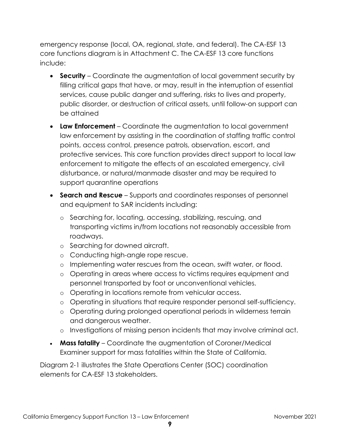emergency response (local, OA, regional, state, and federal). The CA-ESF 13 core functions diagram is in Attachment C. The CA-ESF 13 core functions include:

- **Security**  Coordinate the augmentation of local government security by filling critical gaps that have, or may, result in the interruption of essential services, cause public danger and suffering, risks to lives and property, public disorder, or destruction of critical assets, until follow-on support can be attained
- **Law Enforcement**  Coordinate the augmentation to local government law enforcement by assisting in the coordination of staffing traffic control points, access control, presence patrols, observation, escort, and protective services. This core function provides direct support to local law enforcement to mitigate the effects of an escalated emergency, civil disturbance, or natural/manmade disaster and may be required to support quarantine operations
- **Search and Rescue**  Supports and coordinates responses of personnel and equipment to SAR incidents including:
	- o Searching for, locating, accessing, stabilizing, rescuing, and transporting victims in/from locations not reasonably accessible from roadways.
	- o Searching for downed aircraft.
	- o Conducting high-angle rope rescue.
	- o Implementing water rescues from the ocean, swift water, or flood.
	- o Operating in areas where access to victims requires equipment and personnel transported by foot or unconventional vehicles.
	- o Operating in locations remote from vehicular access.
	- o Operating in situations that require responder personal self-sufficiency.
	- o Operating during prolonged operational periods in wilderness terrain and dangerous weather.
	- o Investigations of missing person incidents that may involve criminal act.
- **Mass fatality**  Coordinate the augmentation of Coroner/Medical Examiner support for mass fatalities within the State of California.

Diagram 2-1 illustrates the State Operations Center (SOC) coordination elements for CA-ESF 13 stakeholders.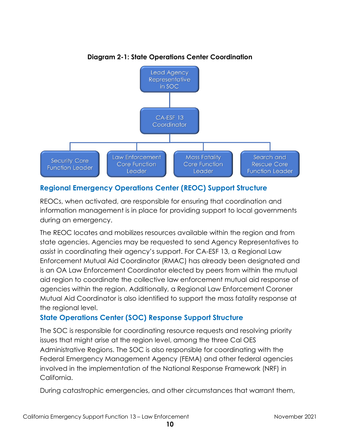

**Diagram 2-1: State Operations Center Coordination** 

#### **Regional Emergency Operations Center (REOC) Support Structure**

REOCs, when activated, are responsible for ensuring that coordination and information management is in place for providing support to local governments during an emergency.

The REOC locates and mobilizes resources available within the region and from state agencies. Agencies may be requested to send Agency Representatives to assist in coordinating their agency's support. For CA-ESF 13, a Regional Law Enforcement Mutual Aid Coordinator (RMAC) has already been designated and is an OA Law Enforcement Coordinator elected by peers from within the mutual aid region to coordinate the collective law enforcement mutual aid response of agencies within the region. Additionally, a Regional Law Enforcement Coroner Mutual Aid Coordinator is also identified to support the mass fatality response at the regional level.

#### **State Operations Center (SOC) Response Support Structure**

The SOC is responsible for coordinating resource requests and resolving priority issues that might arise at the region level, among the three Cal OES Administrative Regions. The SOC is also responsible for coordinating with the Federal Emergency Management Agency (FEMA) and other federal agencies involved in the implementation of the National Response Framework (NRF) in California.

During catastrophic emergencies, and other circumstances that warrant them,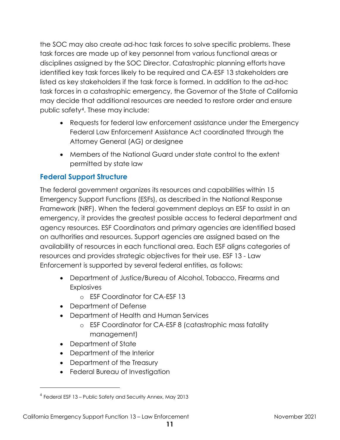the SOC may also create ad-hoc task forces to solve specific problems. These task forces are made up of key personnel from various functional areas or disciplines assigned by the SOC Director. Catastrophic planning efforts have identified key task forces likely to be required and CA-ESF 13 stakeholders are listed as key stakeholders if the task force is formed. In addition to the ad-hoc task forces in a catastrophic emergency, the Governor of the State of California may decide that additional resources are needed to restore order and ensure public safety[4](#page-15-0). These may include:

- Requests for federal law enforcement assistance under the Emergency Federal Law Enforcement Assistance Act coordinated through the Attorney General (AG) or designee
- Members of the National Guard under state control to the extent permitted by state law

## **Federal Support Structure**

The federal government organizes its resources and capabilities within 15 Emergency Support Functions (ESFs), as described in the National Response Framework (NRF). When the federal government deploys an ESF to assist in an emergency, it provides the greatest possible access to federal department and agency resources. ESF Coordinators and primary agencies are identified based on authorities and resources. Support agencies are assigned based on the availability of resources in each functional area. Each ESF aligns categories of resources and provides strategic objectives for their use. ESF 13 - Law Enforcement is supported by several federal entities, as follows:

- Department of Justice/Bureau of Alcohol, Tobacco, Firearms and **Explosives** 
	- o ESF Coordinator for CA-ESF 13
- Department of Defense
- Department of Health and Human Services
	- o ESF Coordinator for CA-ESF 8 (catastrophic mass fatality management)
- Department of State
- Department of the Interior
- Department of the Treasury
- Federal Bureau of Investigation

<span id="page-15-0"></span> $4$  Federal ESF 13 – Public Safety and Security Annex, May 2013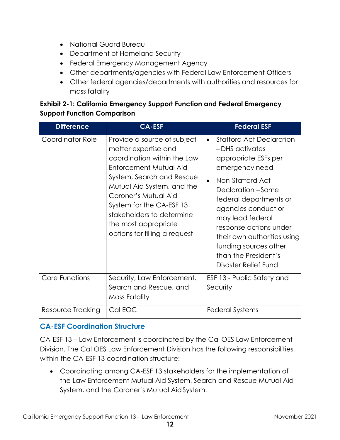- National Guard Bureau
- Department of Homeland Security
- Federal Emergency Management Agency
- Other departments/agencies with Federal Law Enforcement Officers
- Other federal agencies/departments with authorities and resources for mass fatality

#### **Exhibit 2-1: California Emergency Support Function and Federal Emergency Support Function Comparison**

| <b>Difference</b> | <b>CA-ESF</b>                                                                                                                                                                                                                                                                                                     | <b>Federal ESF</b>                                                                                                                                                                                                                                                                                                                                                     |
|-------------------|-------------------------------------------------------------------------------------------------------------------------------------------------------------------------------------------------------------------------------------------------------------------------------------------------------------------|------------------------------------------------------------------------------------------------------------------------------------------------------------------------------------------------------------------------------------------------------------------------------------------------------------------------------------------------------------------------|
| Coordinator Role  | Provide a source of subject<br>matter expertise and<br>coordination within the Law<br>Enforcement Mutual Aid<br>System, Search and Rescue<br>Mutual Aid System, and the<br>Coroner's Mutual Aid<br>System for the CA-ESF 13<br>stakeholders to determine<br>the most appropriate<br>options for filling a request | <b>Stafford Act Declaration</b><br>$\bullet$<br>-DHS activates<br>appropriate ESFs per<br>emergency need<br>Non-Stafford Act<br>$\bullet$<br>Declaration - Some<br>federal departments or<br>agencies conduct or<br>may lead federal<br>response actions under<br>their own authorities using<br>funding sources other<br>than the President's<br>Disaster Relief Fund |
| Core Functions    | Security, Law Enforcement,<br>Search and Rescue, and<br>Mass Fatality                                                                                                                                                                                                                                             | ESF 13 - Public Safety and<br>Security                                                                                                                                                                                                                                                                                                                                 |
| Resource Tracking | Cal EOC                                                                                                                                                                                                                                                                                                           | <b>Federal Systems</b>                                                                                                                                                                                                                                                                                                                                                 |

#### **CA-ESF Coordination Structure**

CA-ESF 13 – Law Enforcement is coordinated by the Cal OES Law Enforcement Division. The Cal OES Law Enforcement Division has the following responsibilities within the CA-ESF 13 coordination structure:

• Coordinating among CA-ESF 13 stakeholders for the implementation of the Law Enforcement Mutual Aid System, Search and Rescue Mutual Aid System, and the Coroner's Mutual AidSystem.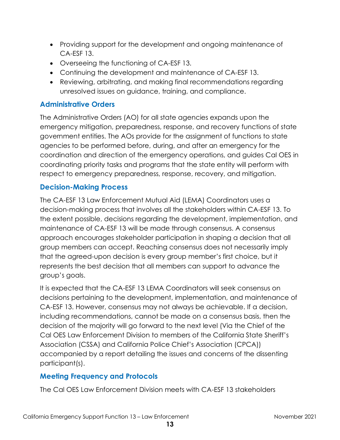- Providing support for the development and ongoing maintenance of CA-ESF 13.
- Overseeing the functioning of CA-ESF 13.
- Continuing the development and maintenance of CA-ESF 13.
- Reviewing, arbitrating, and making final recommendations regarding unresolved issues on guidance, training, and compliance.

### **Administrative Orders**

The Administrative Orders (AO) for all state agencies expands upon the emergency mitigation, preparedness, response, and recovery functions of state government entities. The AOs provide for the assignment of functions to state agencies to be performed before, during, and after an emergency for the coordination and direction of the emergency operations, and guides Cal OES in coordinating priority tasks and programs that the state entity will perform with respect to emergency preparedness, response, recovery, and mitigation.

#### **Decision-Making Process**

The CA-ESF 13 Law Enforcement Mutual Aid (LEMA) Coordinators uses a decision-making process that involves all the stakeholders within CA-ESF 13. To the extent possible, decisions regarding the development, implementation, and maintenance of CA-ESF 13 will be made through consensus. A consensus approach encourages stakeholder participation in shaping a decision that all group members can accept. Reaching consensus does not necessarily imply that the agreed-upon decision is every group member's first choice, but it represents the best decision that all members can support to advance the group's goals.

It is expected that the CA-ESF 13 LEMA Coordinators will seek consensus on decisions pertaining to the development, implementation, and maintenance of CA-ESF 13. However, consensus may not always be achievable. If a decision, including recommendations, cannot be made on a consensus basis, then the decision of the majority will go forward to the next level (Via the Chief of the Cal OES Law Enforcement Division to members of the California State Sheriff's Association (CSSA) and California Police Chief's Association (CPCA)) accompanied by a report detailing the issues and concerns of the dissenting participant(s).

#### **Meeting Frequency and Protocols**

The Cal OES Law Enforcement Division meets with CA-ESF 13 stakeholders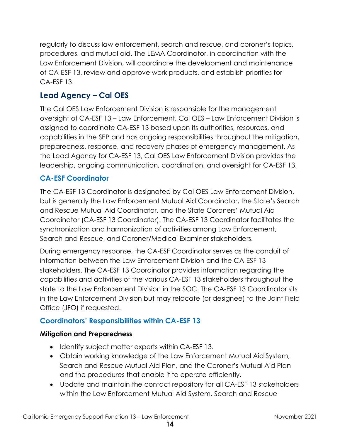regularly to discuss law enforcement, search and rescue, and coroner's topics, procedures, and mutual aid. The LEMA Coordinator, in coordination with the Law Enforcement Division, will coordinate the development and maintenance of CA-ESF 13, review and approve work products, and establish priorities for CA-ESF 13.

## <span id="page-18-0"></span>**Lead Agency – Cal OES**

The Cal OES Law Enforcement Division is responsible for the management oversight of CA-ESF 13 – Law Enforcement. Cal OES – Law Enforcement Division is assigned to coordinate CA-ESF 13 based upon its authorities, resources, and capabilities in the SEP and has ongoing responsibilities throughout the mitigation, preparedness, response, and recovery phases of emergency management. As the Lead Agency for CA-ESF 13, Cal OES Law Enforcement Division provides the leadership, ongoing communication, coordination, and oversight for CA-ESF 13.

#### **CA-ESF Coordinator**

The CA-ESF 13 Coordinator is designated by Cal OES Law Enforcement Division, but is generally the Law Enforcement Mutual Aid Coordinator, the State's Search and Rescue Mutual Aid Coordinator, and the State Coroners' Mutual Aid Coordinator (CA-ESF 13 Coordinator). The CA-ESF 13 Coordinator facilitates the synchronization and harmonization of activities among Law Enforcement, Search and Rescue, and Coroner/Medical Examiner stakeholders.

During emergency response, the CA-ESF Coordinator serves as the conduit of information between the Law Enforcement Division and the CA-ESF 13 stakeholders. The CA-ESF 13 Coordinator provides information regarding the capabilities and activities of the various CA-ESF 13 stakeholders throughout the state to the Law Enforcement Division in the SOC. The CA-ESF 13 Coordinator sits in the Law Enforcement Division but may relocate (or designee) to the Joint Field Office (JFO) if requested.

## **Coordinators' Responsibilities within CA-ESF 13**

#### **Mitigation and Preparedness**

- Identify subject matter experts within CA-ESF 13.
- Obtain working knowledge of the Law Enforcement Mutual Aid System, Search and Rescue Mutual Aid Plan, and the Coroner's Mutual Aid Plan and the procedures that enable it to operate efficiently.
- Update and maintain the contact repository for all CA-ESF 13 stakeholders within the Law Enforcement Mutual Aid System, Search and Rescue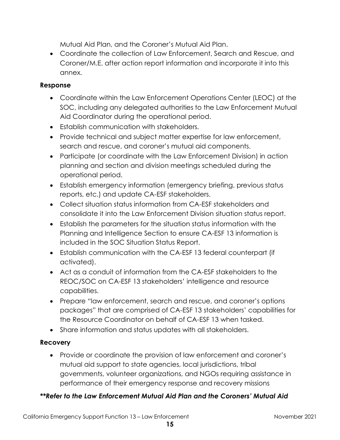Mutual Aid Plan, and the Coroner's Mutual Aid Plan.

• Coordinate the collection of Law Enforcement, Search and Rescue, and Coroner/M.E. after action report information and incorporate it into this annex.

#### **Response**

- Coordinate within the Law Enforcement Operations Center (LEOC) at the SOC, including any delegated authorities to the Law Enforcement Mutual Aid Coordinator during the operational period.
- Establish communication with stakeholders.
- Provide technical and subject matter expertise for law enforcement, search and rescue, and coroner's mutual aid components.
- Participate (or coordinate with the Law Enforcement Division) in action planning and section and division meetings scheduled during the operational period.
- Establish emergency information (emergency briefing, previous status reports, etc.) and update CA-ESF stakeholders.
- Collect situation status information from CA-ESF stakeholders and consolidate it into the Law Enforcement Division situation status report.
- Establish the parameters for the situation status information with the Planning and Intelligence Section to ensure CA-ESF 13 information is included in the SOC Situation Status Report.
- Establish communication with the CA-ESF 13 federal counterpart (if activated).
- Act as a conduit of information from the CA-ESF stakeholders to the REOC/SOC on CA-ESF 13 stakeholders' intelligence and resource capabilities.
- Prepare "law enforcement, search and rescue, and coroner's options packages" that are comprised of CA-ESF 13 stakeholders' capabilities for the Resource Coordinator on behalf of CA-ESF 13 when tasked.
- Share information and status updates with all stakeholders.

#### **Recovery**

• Provide or coordinate the provision of law enforcement and coroner's mutual aid support to state agencies, local jurisdictions, tribal governments, volunteer organizations, and NGOs requiring assistance in performance of their emergency response and recovery missions

#### *\*\*Refer to the Law Enforcement Mutual Aid Plan and the Coroners' Mutual Aid*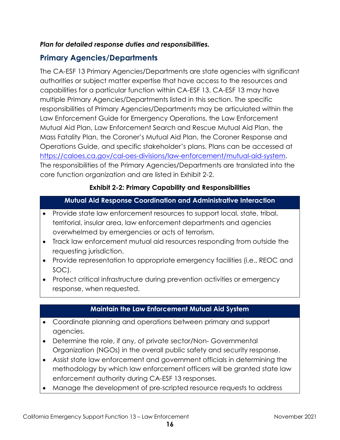#### *Plan for detailed response duties and responsibilities.*

## <span id="page-20-0"></span>**Primary Agencies/Departments**

The CA-ESF 13 Primary Agencies/Departments are state agencies with significant authorities or subject matter expertise that have access to the resources and capabilities for a particular function within CA-ESF 13. CA-ESF 13 may have multiple Primary Agencies/Departments listed in this section. The specific responsibilities of Primary Agencies/Departments may be articulated within the Law Enforcement Guide for Emergency Operations, the Law Enforcement Mutual Aid Plan, Law Enforcement Search and Rescue Mutual Aid Plan, the Mass Fatality Plan, the Coroner's Mutual Aid Plan, the Coroner Response and Operations Guide, and specific stakeholder's plans. Plans can be accessed at [https://caloes.ca.gov/cal-oes-divisions/law-enforcement/mutual-aid-system.](https://caloes.ca.gov/cal-oes-divisions/law-enforcement/mutual-aid-system) The responsibilities of the Primary Agencies/Departments are translated into the core function organization and are listed in Exhibit 2-2.

#### **Exhibit 2-2: Primary Capability and Responsibilities**

#### **Mutual Aid Response Coordination and Administrative Interaction**

- Provide state law enforcement resources to support local, state, tribal, territorial, insular area, law enforcement departments and agencies overwhelmed by emergencies or acts of terrorism.
- Track law enforcement mutual aid resources responding from outside the requesting jurisdiction.
- Provide representation to appropriate emergency facilities (i.e., REOC and SOC).
- Protect critical infrastructure during prevention activities or emergency response, when requested.

#### **Maintain the Law Enforcement Mutual Aid System**

- Coordinate planning and operations between primary and support agencies.
- Determine the role, if any, of private sector/Non- Governmental Organization (NGOs) in the overall public safety and security response.
- Assist state law enforcement and government officials in determining the methodology by which law enforcement officers will be granted state law enforcement authority during CA-ESF 13 responses.
- Manage the development of pre-scripted resource requests to address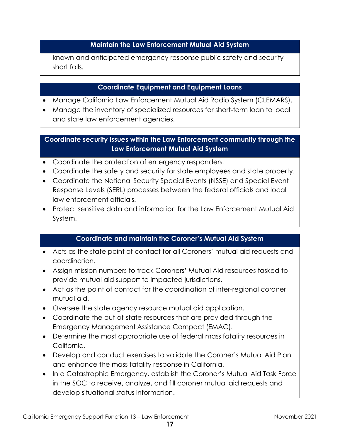#### **Maintain the Law Enforcement Mutual Aid System**

known and anticipated emergency response public safety and security short falls.

#### **Coordinate Equipment and Equipment Loans**

- Manage California Law Enforcement Mutual Aid Radio System (CLEMARS).
- Manage the inventory of specialized resources for short-term loan to local and state law enforcement agencies.

**Coordinate security issues within the Law Enforcement community through the Law Enforcement Mutual Aid System**

- Coordinate the protection of emergency responders.
- Coordinate the safety and security for state employees and state property.
- Coordinate the National Security Special Events (NSSE) and Special Event Response Levels (SERL) processes between the federal officials and local law enforcement officials.
- Protect sensitive data and information for the Law Enforcement Mutual Aid System.

#### **Coordinate and maintain the Coroner's Mutual Aid System**

- Acts as the state point of contact for all Coroners' mutual aid requests and coordination.
- Assign mission numbers to track Coroners' Mutual Aid resources tasked to provide mutual aid support to impacted jurisdictions.
- Act as the point of contact for the coordination of inter-regional coroner mutual aid.
- Oversee the state agency resource mutual aid application.
- Coordinate the out-of-state resources that are provided through the Emergency Management Assistance Compact (EMAC).
- Determine the most appropriate use of federal mass fatality resources in California.
- Develop and conduct exercises to validate the Coroner's Mutual Aid Plan and enhance the mass fatality response in California.
- In a Catastrophic Emergency, establish the Coroner's Mutual Aid Task Force in the SOC to receive, analyze, and fill coroner mutual aid requests and develop situational status information.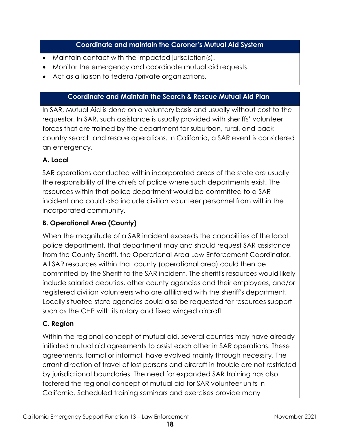#### **Coordinate and maintain the Coroner's Mutual Aid System**

- Maintain contact with the impacted jurisdiction(s).
- Monitor the emergency and coordinate mutual aid requests.
- Act as a liaison to federal/private organizations.

#### **Coordinate and Maintain the Search & Rescue Mutual Aid Plan**

In SAR, Mutual Aid is done on a voluntary basis and usually without cost to the requestor. In SAR, such assistance is usually provided with sheriffs' volunteer forces that are trained by the department for suburban, rural, and back country search and rescue operations. In California, a SAR event is considered an emergency.

#### **A. Local**

SAR operations conducted within incorporated areas of the state are usually the responsibility of the chiefs of police where such departments exist. The resources within that police department would be committed to a SAR incident and could also include civilian volunteer personnel from within the incorporated community.

#### **B. Operational Area (County)**

When the magnitude of a SAR incident exceeds the capabilities of the local police department, that department may and should request SAR assistance from the County Sheriff, the Operational Area Law Enforcement Coordinator. All SAR resources within that county (operational area) could then be committed by the Sheriff to the SAR incident. The sheriff's resources would likely include salaried deputies, other county agencies and their employees, and/or registered civilian volunteers who are affiliated with the sheriff's department. Locally situated state agencies could also be requested for resources support such as the CHP with its rotary and fixed winged aircraft.

#### **C. Region**

Within the regional concept of mutual aid, several counties may have already initiated mutual aid agreements to assist each other in SAR operations. These agreements, formal or informal, have evolved mainly through necessity. The errant direction of travel of lost persons and aircraft in trouble are not restricted by jurisdictional boundaries. The need for expanded SAR training has also fostered the regional concept of mutual aid for SAR volunteer units in California. Scheduled training seminars and exercises provide many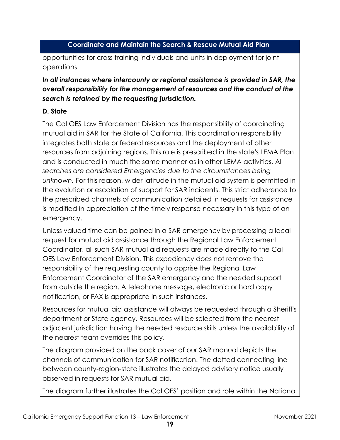#### **Coordinate and Maintain the Search & Rescue Mutual Aid Plan**

opportunities for cross training individuals and units in deployment for joint operations.

*In all instances where intercounty or regional assistance is provided in SAR, the overall responsibility for the management of resources and the conduct of the search is retained by the requesting jurisdiction.* 

#### **D. State**

The Cal OES Law Enforcement Division has the responsibility of coordinating mutual aid in SAR for the State of California. This coordination responsibility integrates both state or federal resources and the deployment of other resources from adjoining regions. This role is prescribed in the state's LEMA Plan and is conducted in much the same manner as in other LEMA activities. All *searches are considered Emergencies due to the circumstances being unknown.* For this reason, wider latitude in the mutual aid system is permitted in the evolution or escalation of support for SAR incidents. This strict adherence to the prescribed channels of communication detailed in requests for assistance is modified in appreciation of the timely response necessary in this type of an emergency.

Unless valued time can be gained in a SAR emergency by processing a local request for mutual aid assistance through the Regional Law Enforcement Coordinator, all such SAR mutual aid requests are made directly to the Cal OES Law Enforcement Division. This expediency does not remove the responsibility of the requesting county to apprise the Regional Law Enforcement Coordinator of the SAR emergency and the needed support from outside the region. A telephone message, electronic or hard copy notification, or FAX is appropriate in such instances.

Resources for mutual aid assistance will always be requested through a Sheriff's department or State agency. Resources will be selected from the nearest adjacent jurisdiction having the needed resource skills unless the availability of the nearest team overrides this policy.

The diagram provided on the back cover of our SAR manual depicts the channels of communication for SAR notification. The dotted connecting line between county-region-state illustrates the delayed advisory notice usually observed in requests for SAR mutual aid.

The diagram further illustrates the Cal OES' position and role within the National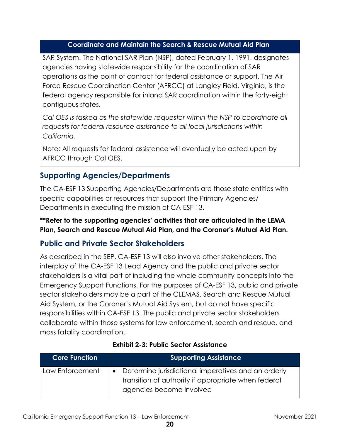#### **Coordinate and Maintain the Search & Rescue Mutual Aid Plan**

SAR System. The National SAR Plan (NSP), dated February 1, 1991, designates agencies having statewide responsibility for the coordination of SAR operations as the point of contact for federal assistance or support. The Air Force Rescue Coordination Center (AFRCC) at Langley Field, Virginia, is the federal agency responsible for inland SAR coordination within the forty-eight contiguous states.

*Cal OES is tasked as the statewide requestor within the NSP to coordinate all requests for federal resource assistance to all local jurisdictions within California.* 

Note: All requests for federal assistance will eventually be acted upon by AFRCC through Cal OES.

#### <span id="page-24-0"></span>**Supporting Agencies/Departments**

The CA-ESF 13 Supporting Agencies/Departments are those state entities with specific capabilities or resources that support the Primary Agencies/ Departments in executing the mission of CA-ESF 13.

**\*\*Refer to the supporting agencies' activities that are articulated in the LEMA Plan, Search and Rescue Mutual Aid Plan, and the Coroner's Mutual Aid Plan.** 

## <span id="page-24-1"></span>**Public and Private Sector Stakeholders**

As described in the SEP, CA-ESF 13 will also involve other stakeholders. The interplay of the CA-ESF 13 Lead Agency and the public and private sector stakeholders is a vital part of including the whole community concepts into the Emergency Support Functions. For the purposes of CA-ESF 13, public and private sector stakeholders may be a part of the CLEMAS, Search and Rescue Mutual Aid System, or the Coroner's Mutual Aid System, but do not have specific responsibilities within CA-ESF 13. The public and private sector stakeholders collaborate within those systems for law enforcement, search and rescue, and mass fatality coordination.

| <b>Core Function</b> | <b>Supporting Assistance</b>                                                                                                           |
|----------------------|----------------------------------------------------------------------------------------------------------------------------------------|
| Law Enforcement      | Determine jurisdictional imperatives and an orderly<br>transition of authority if appropriate when federal<br>agencies become involved |

**20** 

#### **Exhibit 2-3: Public Sector Assistance**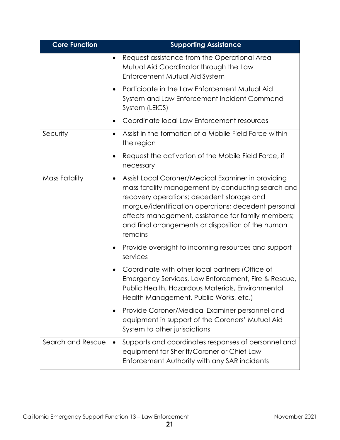| <b>Core Function</b> | <b>Supporting Assistance</b>                                                                                                                                                                                                                                                                                                            |  |
|----------------------|-----------------------------------------------------------------------------------------------------------------------------------------------------------------------------------------------------------------------------------------------------------------------------------------------------------------------------------------|--|
|                      | Request assistance from the Operational Area<br>$\bullet$<br>Mutual Aid Coordinator through the Law<br>Enforcement Mutual Aid System                                                                                                                                                                                                    |  |
|                      | Participate in the Law Enforcement Mutual Aid<br>System and Law Enforcement Incident Command<br>System (LEICS)                                                                                                                                                                                                                          |  |
|                      | Coordinate local Law Enforcement resources<br>$\bullet$                                                                                                                                                                                                                                                                                 |  |
| Security             | Assist in the formation of a Mobile Field Force within<br>$\bullet$<br>the region                                                                                                                                                                                                                                                       |  |
|                      | Request the activation of the Mobile Field Force, if<br>necessary                                                                                                                                                                                                                                                                       |  |
| <b>Mass Fatality</b> | Assist Local Coroner/Medical Examiner in providing<br>٠<br>mass fatality management by conducting search and<br>recovery operations; decedent storage and<br>morgue/identification operations; decedent personal<br>effects management, assistance for family members;<br>and final arrangements or disposition of the human<br>remains |  |
|                      | Provide oversight to incoming resources and support<br>٠<br>services                                                                                                                                                                                                                                                                    |  |
|                      | Coordinate with other local partners (Office of<br>Emergency Services, Law Enforcement, Fire & Rescue,<br>Public Health, Hazardous Materials, Environmental<br>Health Management, Public Works, etc.)                                                                                                                                   |  |
|                      | Provide Coroner/Medical Examiner personnel and<br>equipment in support of the Coroners' Mutual Aid<br>System to other jurisdictions                                                                                                                                                                                                     |  |
| Search and Rescue    | Supports and coordinates responses of personnel and<br>equipment for Sheriff/Coroner or Chief Law<br>Enforcement Authority with any SAR incidents                                                                                                                                                                                       |  |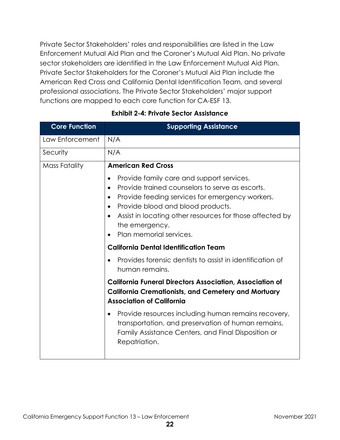Private Sector Stakeholders' roles and responsibilities are listed in the Law Enforcement Mutual Aid Plan and the Coroner's Mutual Aid Plan. No private sector stakeholders are identified in the Law Enforcement Mutual Aid Plan. Private Sector Stakeholders for the Coroner's Mutual Aid Plan include the American Red Cross and California Dental Identification Team, and several professional associations. The Private Sector Stakeholders' major support functions are mapped to each core function for CA-ESF 13.

| <b>Core Function</b> | <b>Supporting Assistance</b>                                                                                                                                                                                                                                                                                                                                   |
|----------------------|----------------------------------------------------------------------------------------------------------------------------------------------------------------------------------------------------------------------------------------------------------------------------------------------------------------------------------------------------------------|
| Law Enforcement      | N/A                                                                                                                                                                                                                                                                                                                                                            |
| Security             | N/A                                                                                                                                                                                                                                                                                                                                                            |
| <b>Mass Fatality</b> | <b>American Red Cross</b>                                                                                                                                                                                                                                                                                                                                      |
|                      | Provide family care and support services.<br>$\bullet$<br>Provide trained counselors to serve as escorts.<br>$\bullet$<br>Provide feeding services for emergency workers.<br>$\bullet$<br>Provide blood and blood products.<br>$\bullet$<br>Assist in locating other resources for those affected by<br>$\bullet$<br>the emergency.<br>Plan memorial services. |
|                      | <b>California Dental Identification Team</b>                                                                                                                                                                                                                                                                                                                   |
|                      | Provides forensic dentists to assist in identification of<br>human remains.                                                                                                                                                                                                                                                                                    |
|                      | <b>California Funeral Directors Association, Association of</b><br><b>California Cremationists, and Cemetery and Mortuary</b><br><b>Association of California</b>                                                                                                                                                                                              |
|                      | Provide resources including human remains recovery,<br>$\bullet$<br>transportation, and preservation of human remains,<br>Family Assistance Centers, and Final Disposition or<br>Repatriation.                                                                                                                                                                 |

#### **Exhibit 2-4: Private Sector Assistance**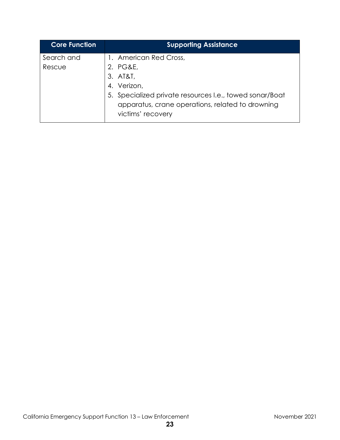| <b>Core Function</b> | <b>Supporting Assistance</b>                                                                                                     |
|----------------------|----------------------------------------------------------------------------------------------------------------------------------|
| Search and           | 1. American Red Cross,                                                                                                           |
| Rescue               | 2. PG&E,                                                                                                                         |
|                      | 3. AT&T,                                                                                                                         |
|                      | 4. Verizon,                                                                                                                      |
|                      | 5. Specialized private resources I.e., towed sonar/Boat<br>apparatus, crane operations, related to drowning<br>victims' recovery |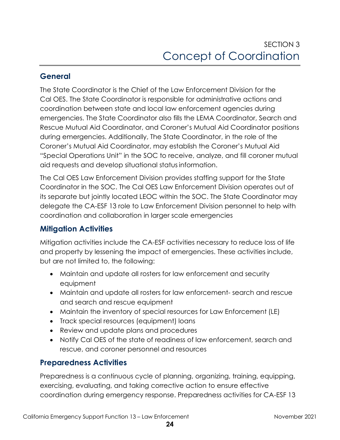## <span id="page-28-0"></span>**General**

The State Coordinator is the Chief of the Law Enforcement Division for the Cal OES. The State Coordinator is responsible for administrative actions and coordination between state and local law enforcement agencies during emergencies. The State Coordinator also fills the LEMA Coordinator, Search and Rescue Mutual Aid Coordinator, and Coroner's Mutual Aid Coordinator positions during emergencies. Additionally, The State Coordinator, in the role of the Coroner's Mutual Aid Coordinator, may establish the Coroner's Mutual Aid "Special Operations Unit" in the SOC to receive, analyze, and fill coroner mutual aid requests and develop situational statusinformation.

The Cal OES Law Enforcement Division provides staffing support for the State Coordinator in the SOC. The Cal OES Law Enforcement Division operates out of its separate but jointly located LEOC within the SOC. The State Coordinator may delegate the CA-ESF 13 role to Law Enforcement Division personnel to help with coordination and collaboration in larger scale emergencies

## <span id="page-28-1"></span>**Mitigation Activities**

Mitigation activities include the CA-ESF activities necessary to reduce loss of life and property by lessening the impact of emergencies. These activities include, but are not limited to, the following:

- Maintain and update all rosters for law enforcement and security equipment
- Maintain and update all rosters for law enforcement- search and rescue and search and rescue equipment
- Maintain the inventory of special resources for Law Enforcement (LE)
- Track special resources (equipment) loans
- Review and update plans and procedures
- Notify Cal OES of the state of readiness of law enforcement, search and rescue, and coroner personnel and resources

## <span id="page-28-2"></span>**Preparedness Activities**

Preparedness is a continuous cycle of planning, organizing, training, equipping, exercising, evaluating, and taking corrective action to ensure effective coordination during emergency response. Preparedness activities for CA-ESF 13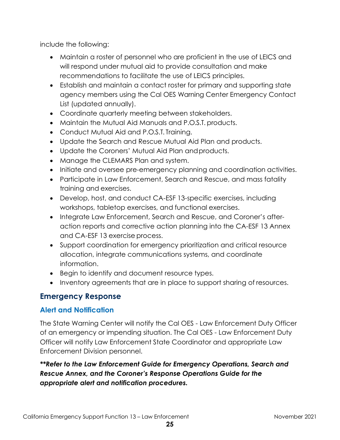include the following:

- Maintain a roster of personnel who are proficient in the use of LEICS and will respond under mutual aid to provide consultation and make recommendations to facilitate the use of LEICS principles.
- Establish and maintain a contact roster for primary and supporting state agency members using the Cal OES Warning Center Emergency Contact List (updated annually).
- Coordinate quarterly meeting between stakeholders.
- Maintain the Mutual Aid Manuals and P.O.S.T. products.
- Conduct Mutual Aid and P.O.S.T. Training.
- Update the Search and Rescue Mutual Aid Plan and products.
- Update the Coroners' Mutual Aid Plan andproducts.
- Manage the CLEMARS Plan and system.
- Initiate and oversee pre-emergency planning and coordination activities.
- Participate in Law Enforcement, Search and Rescue, and mass fatality training and exercises.
- Develop, host, and conduct CA-ESF 13-specific exercises, including workshops, tabletop exercises, and functional exercises.
- Integrate Law Enforcement, Search and Rescue, and Coroner's afteraction reports and corrective action planning into the CA-ESF 13 Annex and CA-ESF 13 exercise process.
- Support coordination for emergency prioritization and critical resource allocation, integrate communications systems, and coordinate information.
- Begin to identify and document resource types.
- Inventory agreements that are in place to support sharing of resources.

## <span id="page-29-0"></span>**Emergency Response**

#### **Alert and Notification**

The State Warning Center will notify the Cal OES - Law Enforcement Duty Officer of an emergency or impending situation. The Cal OES - Law Enforcement Duty Officer will notify Law Enforcement State Coordinator and appropriate Law Enforcement Division personnel.

#### *\*\*Refer to the Law Enforcement Guide for Emergency Operations, Search and Rescue Annex, and the Coroner's Response Operations Guide for the appropriate alert and notification procedures.*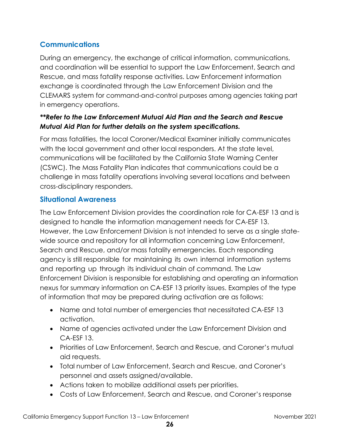## **Communications**

During an emergency, the exchange of critical information, communications, and coordination will be essential to support the Law Enforcement, Search and Rescue, and mass fatality response activities. Law Enforcement information exchange is coordinated through the Law Enforcement Division and the CLEMARS system for command-and-control purposes among agencies taking part in emergency operations.

#### *\*\*Refer to the Law Enforcement Mutual Aid Plan and the Search and Rescue Mutual Aid Plan for further details on the system specifications.*

For mass fatalities, the local Coroner/Medical Examiner initially communicates with the local government and other local responders. At the state level, communications will be facilitated by the California State Warning Center (CSWC). The Mass Fatality Plan indicates that communications could be a challenge in mass fatality operations involving several locations and between cross-disciplinary responders.

#### **Situational Awareness**

The Law Enforcement Division provides the coordination role for CA-ESF 13 and is designed to handle the information management needs for CA-ESF 13. However, the Law Enforcement Division is not intended to serve as a single statewide source and repository for all information concerning Law Enforcement, Search and Rescue, and/or mass fatality emergencies. Each responding agency is still responsible for maintaining its own internal information systems and reporting up through its individual chain of command. The Law Enforcement Division is responsible for establishing and operating an information nexus for summary information on CA-ESF 13 priority issues. Examples of the type of information that may be prepared during activation are as follows:

- Name and total number of emergencies that necessitated CA-ESF 13 activation.
- Name of agencies activated under the Law Enforcement Division and CA-ESF 13.
- Priorities of Law Enforcement, Search and Rescue, and Coroner's mutual aid requests.
- Total number of Law Enforcement, Search and Rescue, and Coroner's personnel and assets assigned/available.
- Actions taken to mobilize additional assets per priorities.
- Costs of Law Enforcement, Search and Rescue, and Coroner's response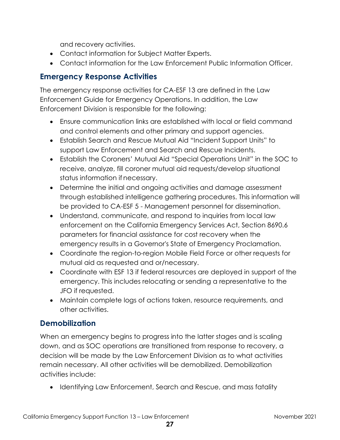and recovery activities.

- Contact information for Subject Matter Experts.
- Contact information for the Law Enforcement Public Information Officer.

## <span id="page-31-0"></span>**Emergency Response Activities**

The emergency response activities for CA-ESF 13 are defined in the Law Enforcement Guide for Emergency Operations. In addition, the Law Enforcement Division is responsible for the following:

- Ensure communication links are established with local or field command and control elements and other primary and support agencies.
- Establish Search and Rescue Mutual Aid "Incident Support Units" to support Law Enforcement and Search and Rescue Incidents.
- Establish the Coroners' Mutual Aid "Special Operations Unit" in the SOC to receive, analyze, fill coroner mutual aid requests/develop situational status information if necessary.
- Determine the initial and ongoing activities and damage assessment through established intelligence gathering procedures. This information will be provided to CA-ESF 5 - Management personnel for dissemination.
- Understand, communicate, and respond to inquiries from local law enforcement on the California Emergency Services Act, Section 8690.6 parameters for financial assistance for cost recovery when the emergency results in a Governor's State of Emergency Proclamation.
- Coordinate the region-to-region Mobile Field Force or other requests for mutual aid as requested and or/necessary.
- Coordinate with ESF 13 if federal resources are deployed in support of the emergency. This includes relocating or sending a representative to the JFO if requested.
- Maintain complete logs of actions taken, resource requirements, and other activities.

## <span id="page-31-1"></span>**Demobilization**

When an emergency begins to progress into the latter stages and is scaling down, and as SOC operations are transitioned from response to recovery, a decision will be made by the Law Enforcement Division as to what activities remain necessary. All other activities will be demobilized. Demobilization activities include:

• Identifying Law Enforcement, Search and Rescue, and mass fatality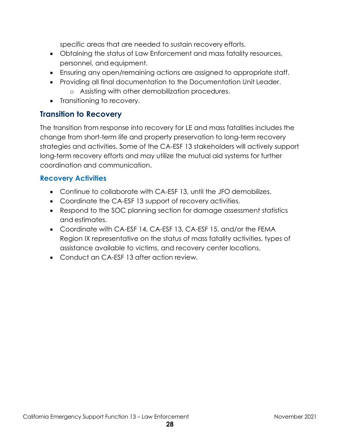specific areas that are needed to sustain recovery efforts.

- Obtaining the status of Law Enforcement and mass fatality resources, personnel, and equipment.
- Ensuring any open/remaining actions are assigned to appropriate staff.
- Providing all final documentation to the Documentation Unit Leader.
	- o Assisting with other demobilization procedures.
- Transitioning to recovery.

## <span id="page-32-0"></span>**Transition to Recovery**

The transition from response into recovery for LE and mass fatalities includes the change from short-term life and property preservation to long-term recovery strategies and activities. Some of the CA-ESF 13 stakeholders will actively support long-term recovery efforts and may utilize the mutual aid systems for further coordination and communication.

#### **Recovery Activities**

- Continue to collaborate with CA-ESF 13, until the JFO demobilizes.
- Coordinate the CA-ESF 13 support of recovery activities.
- Respond to the SOC planning section for damage assessment statistics and estimates.
- Coordinate with CA-ESF 14, CA-ESF 13, CA-ESF 15, and/or the FEMA Region IX representative on the status of mass fatality activities, types of assistance available to victims, and recovery center locations.
- Conduct an CA-ESF 13 after action review.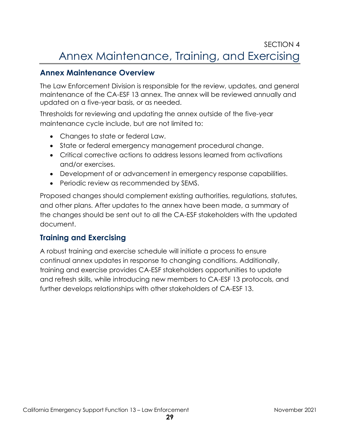## SECTION 4 Annex Maintenance, Training, and Exercising

## <span id="page-33-0"></span>**Annex Maintenance Overview**

The Law Enforcement Division is responsible for the review, updates, and general maintenance of the CA-ESF 13 annex. The annex will be reviewed annually and updated on a five-year basis, or as needed.

Thresholds for reviewing and updating the annex outside of the five-year maintenance cycle include, but are not limited to:

- Changes to state or federal Law.
- State or federal emergency management procedural change.
- Critical corrective actions to address lessons learned from activations and/or exercises.
- Development of or advancement in emergency response capabilities.
- Periodic review as recommended by SEMS.

Proposed changes should complement existing authorities, regulations, statutes, and other plans. After updates to the annex have been made, a summary of the changes should be sent out to all the CA-ESF stakeholders with the updated document.

#### <span id="page-33-1"></span>**Training and Exercising**

A robust training and exercise schedule will initiate a process to ensure continual annex updates in response to changing conditions. Additionally, training and exercise provides CA-ESF stakeholders opportunities to update and refresh skills, while introducing new members to CA-ESF 13 protocols, and further develops relationships with other stakeholders of CA-ESF 13.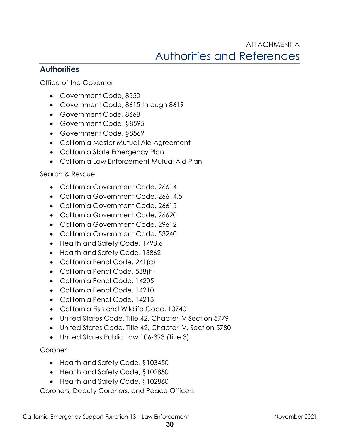## ATTACHMENT A Authorities and References

## <span id="page-34-0"></span>**Authorities**

Office of the Governor

- Government Code, 8550
- Government Code, 8615 through 8619
- Government Code, 8668
- Government Code, §8595
- Government Code, §8569
- California Master Mutual Aid Agreement
- California State Emergency Plan
- California Law Enforcement Mutual Aid Plan

#### Search & Rescue

- California Government Code, 26614
- California Government Code, 26614.5
- California Government Code, 26615
- California Government Code, 26620
- California Government Code, 29612
- California Government Code, 53240
- Health and Safety Code, 1798.6
- Health and Safety Code, 13862
- California Penal Code, 241(c)
- California Penal Code, 538(h)
- California Penal Code, 14205
- California Penal Code, 14210
- California Penal Code, 14213
- California Fish and Wildlife Code, 10740
- United States Code, Title 42, Chapter IV Section 5779
- United States Code, Title 42, Chapter IV, Section 5780
- United States Public Law 106-393 (Title 3)

#### Coroner

- Health and Safety Code, §103450
- Health and Safety Code, §102850
- Health and Safety Code, §102860

Coroners, Deputy Coroners, and Peace Officers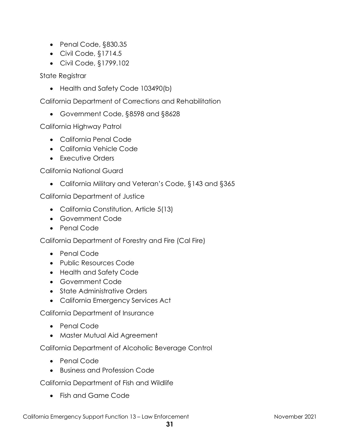- Penal Code, §830.35
- Civil Code, §1714.5
- Civil Code, §1799.102

State Registrar

• Health and Safety Code 103490(b)

California Department of Corrections and Rehabilitation

• Government Code, §8598 and §8628

California Highway Patrol

- California Penal Code
- California Vehicle Code
- Executive Orders

California National Guard

• California Military and Veteran's Code, §143 and §365

California Department of Justice

- California Constitution, Article 5(13)
- Government Code
- Penal Code

California Department of Forestry and Fire (Cal Fire)

- Penal Code
- Public Resources Code
- Health and Safety Code
- Government Code
- State Administrative Orders
- California Emergency Services Act

California Department of Insurance

- Penal Code
- Master Mutual Aid Agreement

California Department of Alcoholic Beverage Control

- Penal Code
- Business and Profession Code

California Department of Fish and Wildlife

• Fish and Game Code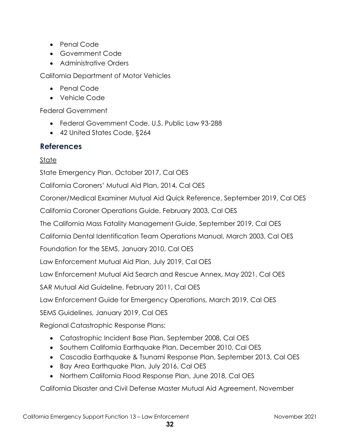- Penal Code
- Government Code
- Administrative Orders

California Department of Motor Vehicles

- Penal Code
- Vehicle Code

Federal Government

- Federal Government Code, U.S. Public Law 93-288
- 42 United States Code, §264

## **References**

#### **State**

State Emergency Plan, October 2017, Cal OES

California Coroners' Mutual Aid Plan, 2014, Cal OES

Coroner/Medical Examiner Mutual Aid Quick Reference, September 2019, Cal OES

California Coroner Operations Guide, February 2003, Cal OES

The California Mass Fatality Management Guide, September 2019, Cal OES

California Dental Identification Team Operations Manual, March 2003, Cal OES

Foundation for the SEMS, January 2010, Cal OES

Law Enforcement Mutual Aid Plan, July 2019, Cal OES

Law Enforcement Mutual Aid Search and Rescue Annex, May 2021, Cal OES

SAR Mutual Aid Guideline, February 2011, Cal OES

Law Enforcement Guide for Emergency Operations, March 2019, Cal OES

SEMS Guidelines, January 2019, Cal OES

Regional Catastrophic Response Plans:

- Catastrophic Incident Base Plan, September 2008, Cal OES
- Southern California Earthquake Plan, December 2010, Cal OES
- Cascadia Earthquake & Tsunami Response Plan, September 2013, Cal OES
- Bay Area Earthquake Plan, July 2016, Cal OES
- Northern California Flood Response Plan, June 2018, Cal OES

California Disaster and Civil Defense Master Mutual Aid Agreement, November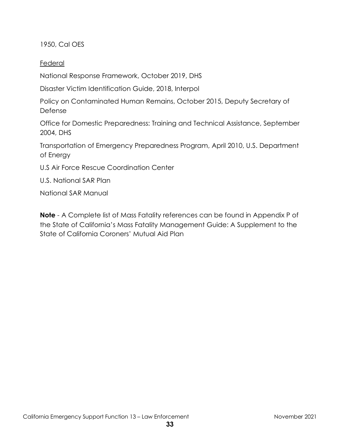1950, Cal OES

#### Federal

National Response Framework, October 2019, DHS

Disaster Victim Identification Guide, 2018, Interpol

Policy on Contaminated Human Remains, October 2015, Deputy Secretary of Defense

Office for Domestic Preparedness: Training and Technical Assistance, September 2004, DHS

Transportation of Emergency Preparedness Program, April 2010, U.S. Department of Energy

U.S Air Force Rescue Coordination Center

U.S. National SAR Plan

National SAR Manual

**Note** - A Complete list of Mass Fatality references can be found in Appendix P of the State of California's Mass Fatality Management Guide: A Supplement to the State of California Coroners' Mutual Aid Plan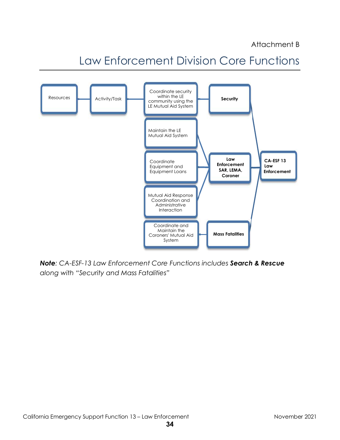## Law Enforcement Division Core Functions

<span id="page-38-0"></span>

*Note: CA-ESF-13 Law Enforcement Core Functions includes Search & Rescue along with "Security and Mass Fatalities"*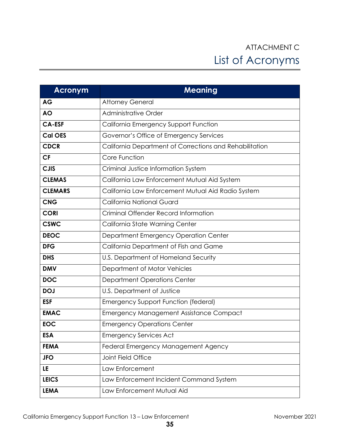## ATTACHMENT C List of Acronyms

<span id="page-39-0"></span>

| <b>Acronym</b> | <b>Meaning</b>                                          |
|----------------|---------------------------------------------------------|
| <b>AG</b>      | <b>Attorney General</b>                                 |
| <b>AO</b>      | Administrative Order                                    |
| <b>CA-ESF</b>  | California Emergency Support Function                   |
| <b>Cal OES</b> | Governor's Office of Emergency Services                 |
| <b>CDCR</b>    | California Department of Corrections and Rehabilitation |
| <b>CF</b>      | Core Function                                           |
| <b>CJIS</b>    | Criminal Justice Information System                     |
| <b>CLEMAS</b>  | California Law Enforcement Mutual Aid System            |
| <b>CLEMARS</b> | California Law Enforcement Mutual Aid Radio System      |
| <b>CNG</b>     | California National Guard                               |
| <b>CORI</b>    | Criminal Offender Record Information                    |
| <b>CSWC</b>    | California State Warning Center                         |
| <b>DEOC</b>    | Department Emergency Operation Center                   |
| <b>DFG</b>     | California Department of Fish and Game                  |
| <b>DHS</b>     | U.S. Department of Homeland Security                    |
| <b>DMV</b>     | Department of Motor Vehicles                            |
| <b>DOC</b>     | <b>Department Operations Center</b>                     |
| <b>DOJ</b>     | U.S. Department of Justice                              |
| <b>ESF</b>     | <b>Emergency Support Function (federal)</b>             |
| <b>EMAC</b>    | Emergency Management Assistance Compact                 |
| <b>EOC</b>     | <b>Emergency Operations Center</b>                      |
| <b>ESA</b>     | Emergency Services Act                                  |
| <b>FEMA</b>    | Federal Emergency Management Agency                     |
| <b>JFO</b>     | Joint Field Office                                      |
| LE             | Law Enforcement                                         |
| <b>LEICS</b>   | Law Enforcement Incident Command System                 |
| <b>LEMA</b>    | Law Enforcement Mutual Aid                              |